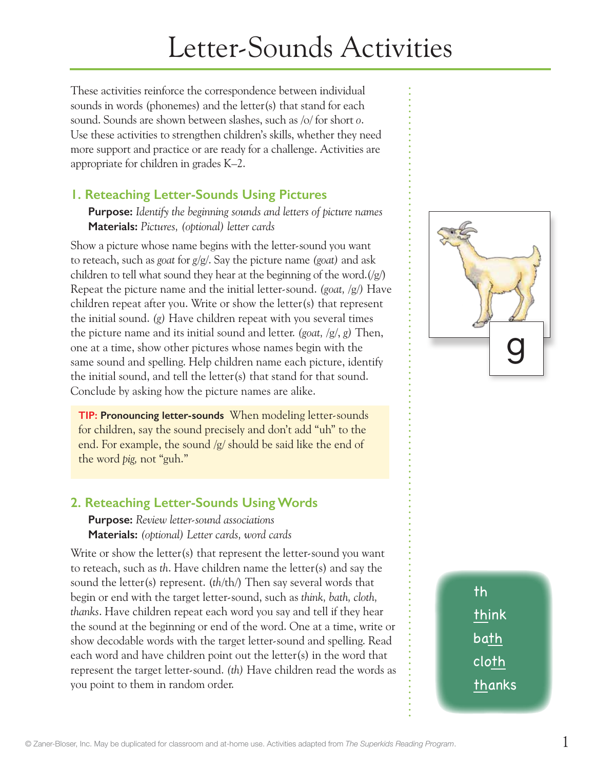# Letter-Sounds Activities

These activities reinforce the correspondence between individual sounds in words (phonemes) and the letter(s) that stand for each sound. Sounds are shown between slashes, such as /o/ for short *o*. Use these activities to strengthen children's skills, whether they need more support and practice or are ready for a challenge. Activities are appropriate for children in grades K–2.

## **1. Reteaching Letter-Sounds Using Pictures**

**Purpose:** *Identify the beginning sounds and letters of picture names* **Materials:** *Pictures, (optional) letter cards*

Show a picture whose name begins with the letter-sound you want to reteach, such as *goat* for *g*/g/. Say the picture name *(goat)* and ask children to tell what sound they hear at the beginning of the word. $(\sqrt{g})$ Repeat the picture name and the initial letter-sound. *(goat,* /g/*)* Have children repeat after you. Write or show the letter(s) that represent the initial sound. *(g)* Have children repeat with you several times the picture name and its initial sound and letter. *(goat,* /g/, *g)* Then, one at a time, show other pictures whose names begin with the same sound and spelling. Help children name each picture, identify the initial sound, and tell the letter(s) that stand for that sound. Conclude by asking how the picture names are alike.

**TIP: Pronouncing letter-sounds** When modeling letter-sounds for children, say the sound precisely and don't add "uh" to the end. For example, the sound /g/ should be said like the end of the word *pig,* not "guh."

# **2. Reteaching Letter-Sounds Using Words**

**Purpose:** *Review letter-sound associations* **Materials:** *(optional) Letter cards, word cards*

Write or show the letter(s) that represent the letter-sound you want to reteach, such as *th*. Have children name the letter(s) and say the sound the letter(s) represent. (*th*/th/) Then say several words that begin or end with the target letter-sound, such as *think, bath, cloth, thanks*. Have children repeat each word you say and tell if they hear the sound at the beginning or end of the word. One at a time, write or show decodable words with the target letter-sound and spelling. Read each word and have children point out the letter(s) in the word that represent the target letter-sound. *(th)* Have children read the words as you point to them in random order.



th think bath cloth thanks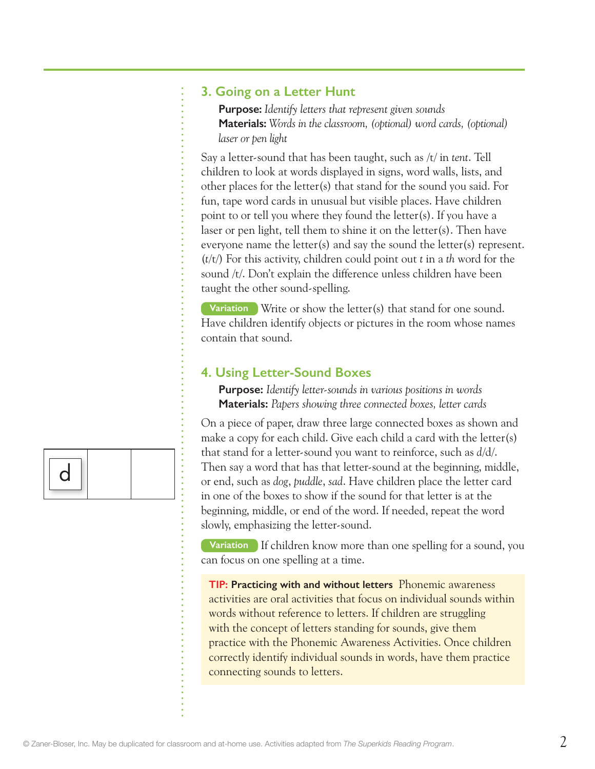#### **3. Going on a Letter Hunt**

**Purpose:** *Identify letters that represent given sounds* **Materials:** *Words in the classroom, (optional) word cards, (optional) laser or pen light*

Say a letter-sound that has been taught, such as /t/ in *tent*. Tell children to look at words displayed in signs, word walls, lists, and other places for the letter(s) that stand for the sound you said. For fun, tape word cards in unusual but visible places. Have children point to or tell you where they found the letter(s). If you have a laser or pen light, tell them to shine it on the letter(s). Then have everyone name the letter(s) and say the sound the letter(s) represent. (*t*/t/) For this activity, children could point out *t* in a *th* word for the sound /t/. Don't explain the difference unless children have been taught the other sound-spelling.

**Variation** Write or show the letter(s) that stand for one sound. Have children identify objects or pictures in the room whose names contain that sound.

### **4. Using Letter-Sound Boxes**

**Purpose:** *Identify letter-sounds in various positions in words*  **Materials:** *Papers showing three connected boxes, letter cards*

On a piece of paper, draw three large connected boxes as shown and make a copy for each child. Give each child a card with the letter(s) that stand for a letter-sound you want to reinforce, such as *d*/d/. Then say a word that has that letter-sound at the beginning, middle, or end, such as *dog*, *puddle*, *sad*. Have children place the letter card in one of the boxes to show if the sound for that letter is at the beginning, middle, or end of the word. If needed, repeat the word slowly, emphasizing the letter-sound.

**Variation** If children know more than one spelling for a sound, you can focus on one spelling at a time.

**TIP: Practicing with and without letters** Phonemic awareness activities are oral activities that focus on individual sounds within words without reference to letters. If children are struggling with the concept of letters standing for sounds, give them practice with the Phonemic Awareness Activities. Once children correctly identify individual sounds in words, have them practice connecting sounds to letters.